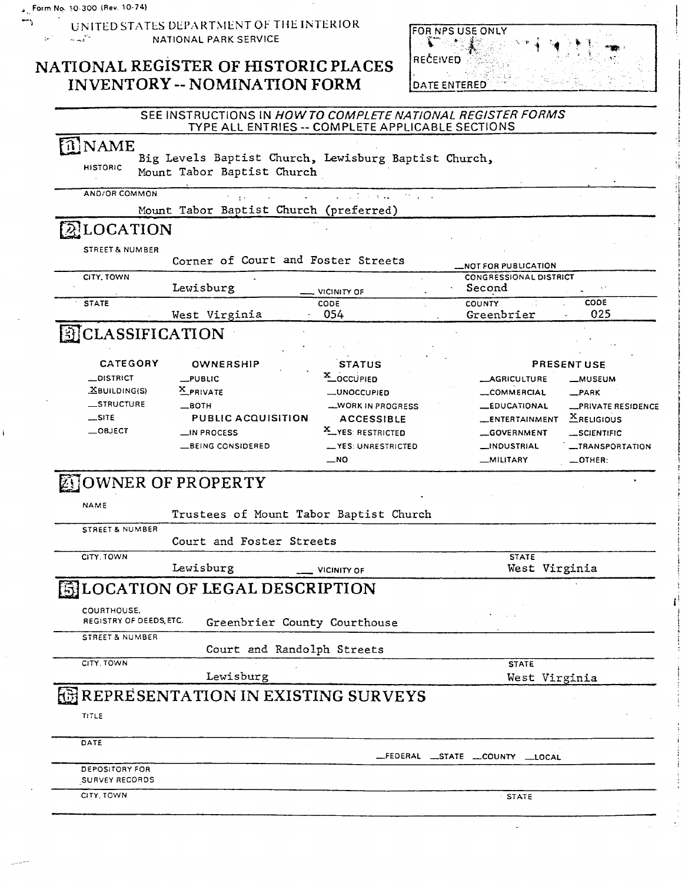$\left\vert \mathbf{r}\right\vert ^{2}$ 

 $\overrightarrow{T}$  UNITED STATES DEPARTMENT OF THE INTERIOR **NATIONAL PARK SERVICE** 

# **NATIONAL REGISTER OF HISTORIC PLACES INVENTORY** -- **NOMINATION FORM**

| FOR NPS USE ONLY    |  |  |
|---------------------|--|--|
| ÷.                  |  |  |
| <b>IRECEIVED</b>    |  |  |
|                     |  |  |
| <b>DATE ENTERED</b> |  |  |

| î]NAME<br>Big Levels Baptist Church, Lewisburg Baptist Church,<br><b>HISTORIC</b><br>Mount Tabor Baptist Church<br>AND/OR COMMON<br>$\mathcal{L}^{\mathcal{A}}$ and $\mathcal{L}^{\mathcal{A}}$ are $\mathcal{L}^{\mathcal{A}}$ . In the following<br>Mount Tabor Baptist Church (preferred)<br><b>ALOCATION</b><br>STREET & NUMBER<br>Corner of Court and Foster Streets<br><b>NOT FOR PUBLICATION</b><br>CITY, TOWN<br><b>CONGRESSIONAL DISTRICT</b><br>Lewisburg<br>Second<br>VICINITY OF<br>CODE<br><b>COUNTY</b><br>CODE<br><b>STATE</b><br>025<br>054<br>Greenbrier<br>West Virginia<br><b>EICLASSIFICATION</b><br><b>CATEGORY</b><br>OWNERSHIP<br><b>PRESENT USE</b><br><b>STATUS</b><br>X_OCCUPIED<br>$\_$ DISTRICT<br>$L$ PUBLIC<br><b>__AGRICULTURE</b><br><b>__MUSEUM</b><br>X PRIVATE<br>$X$ BUILDING(S)<br><b>__UNOCCUPIED</b><br>COMMERCIAL<br>$-$ PARK<br>_STRUCTURE<br>$\equiv$ 80TH<br><b>__WORK IN PROGRESS</b><br><b>EDUCATIONAL</b><br>PRIVATE RESIDENCE<br>$\equiv$ SITE<br>$X$ RELIGIOUS<br>PUBLIC ACQUISITION<br><b>ACCESSIBLE</b><br>ENTERTAINMENT<br>$-$ OBJECT<br>X YES: RESTRICTED<br>_IN PROCESS<br><b>__GOVERNMENT</b><br>__SCIENTIFIC<br>__ YES: UNRESTRICTED<br><b>BEING CONSIDERED</b><br>_INDUSTRIAL<br><i>_TRANSPORTATION</i><br>$-$ NO<br>$\_$ OTHER:<br>_MILITARY<br><b>DOWNER OF PROPERTY</b><br>NAME<br>Trustees of Mount Tabor Baptist Church<br><b>STREET &amp; NUMBER</b><br>Court and Foster Streets<br>CITY, TOWN<br><b>STATE</b><br>Lewisburg<br>West Virginia<br><b>VICINITY OF</b><br><b>ELOCATION OF LEGAL DESCRIPTION</b><br>COURTHOUSE.<br>REGISTRY OF DEEDS, ETC.<br>Greenbrier County Courthouse<br>STREET & NUMBER<br>Court and Randolph Streets<br>CITY, TOWN<br><b>STATE</b><br>Lewisburg<br>West Virginia<br><b>EXISTING SURVEYS</b><br>TITLE<br>DATE<br>__FEDERAL __STATE __COUNTY __LOCAL<br>DEPOSITORY FOR<br><b>SURVEY RECORDS</b><br>CITY, TOWN<br><b>STATE</b> | SEE INSTRUCTIONS IN HOW TO COMPLETE NATIONAL REGISTER FORMS | TYPE ALL ENTRIES -- COMPLETE APPLICABLE SECTIONS |  |
|-----------------------------------------------------------------------------------------------------------------------------------------------------------------------------------------------------------------------------------------------------------------------------------------------------------------------------------------------------------------------------------------------------------------------------------------------------------------------------------------------------------------------------------------------------------------------------------------------------------------------------------------------------------------------------------------------------------------------------------------------------------------------------------------------------------------------------------------------------------------------------------------------------------------------------------------------------------------------------------------------------------------------------------------------------------------------------------------------------------------------------------------------------------------------------------------------------------------------------------------------------------------------------------------------------------------------------------------------------------------------------------------------------------------------------------------------------------------------------------------------------------------------------------------------------------------------------------------------------------------------------------------------------------------------------------------------------------------------------------------------------------------------------------------------------------------------------------------------------------------------------------------------------------------------------|-------------------------------------------------------------|--------------------------------------------------|--|
|                                                                                                                                                                                                                                                                                                                                                                                                                                                                                                                                                                                                                                                                                                                                                                                                                                                                                                                                                                                                                                                                                                                                                                                                                                                                                                                                                                                                                                                                                                                                                                                                                                                                                                                                                                                                                                                                                                                             |                                                             |                                                  |  |
|                                                                                                                                                                                                                                                                                                                                                                                                                                                                                                                                                                                                                                                                                                                                                                                                                                                                                                                                                                                                                                                                                                                                                                                                                                                                                                                                                                                                                                                                                                                                                                                                                                                                                                                                                                                                                                                                                                                             |                                                             |                                                  |  |
|                                                                                                                                                                                                                                                                                                                                                                                                                                                                                                                                                                                                                                                                                                                                                                                                                                                                                                                                                                                                                                                                                                                                                                                                                                                                                                                                                                                                                                                                                                                                                                                                                                                                                                                                                                                                                                                                                                                             |                                                             |                                                  |  |
|                                                                                                                                                                                                                                                                                                                                                                                                                                                                                                                                                                                                                                                                                                                                                                                                                                                                                                                                                                                                                                                                                                                                                                                                                                                                                                                                                                                                                                                                                                                                                                                                                                                                                                                                                                                                                                                                                                                             |                                                             |                                                  |  |
|                                                                                                                                                                                                                                                                                                                                                                                                                                                                                                                                                                                                                                                                                                                                                                                                                                                                                                                                                                                                                                                                                                                                                                                                                                                                                                                                                                                                                                                                                                                                                                                                                                                                                                                                                                                                                                                                                                                             |                                                             |                                                  |  |
|                                                                                                                                                                                                                                                                                                                                                                                                                                                                                                                                                                                                                                                                                                                                                                                                                                                                                                                                                                                                                                                                                                                                                                                                                                                                                                                                                                                                                                                                                                                                                                                                                                                                                                                                                                                                                                                                                                                             |                                                             |                                                  |  |
|                                                                                                                                                                                                                                                                                                                                                                                                                                                                                                                                                                                                                                                                                                                                                                                                                                                                                                                                                                                                                                                                                                                                                                                                                                                                                                                                                                                                                                                                                                                                                                                                                                                                                                                                                                                                                                                                                                                             |                                                             |                                                  |  |
|                                                                                                                                                                                                                                                                                                                                                                                                                                                                                                                                                                                                                                                                                                                                                                                                                                                                                                                                                                                                                                                                                                                                                                                                                                                                                                                                                                                                                                                                                                                                                                                                                                                                                                                                                                                                                                                                                                                             |                                                             |                                                  |  |
|                                                                                                                                                                                                                                                                                                                                                                                                                                                                                                                                                                                                                                                                                                                                                                                                                                                                                                                                                                                                                                                                                                                                                                                                                                                                                                                                                                                                                                                                                                                                                                                                                                                                                                                                                                                                                                                                                                                             |                                                             |                                                  |  |
|                                                                                                                                                                                                                                                                                                                                                                                                                                                                                                                                                                                                                                                                                                                                                                                                                                                                                                                                                                                                                                                                                                                                                                                                                                                                                                                                                                                                                                                                                                                                                                                                                                                                                                                                                                                                                                                                                                                             |                                                             |                                                  |  |
|                                                                                                                                                                                                                                                                                                                                                                                                                                                                                                                                                                                                                                                                                                                                                                                                                                                                                                                                                                                                                                                                                                                                                                                                                                                                                                                                                                                                                                                                                                                                                                                                                                                                                                                                                                                                                                                                                                                             |                                                             |                                                  |  |
|                                                                                                                                                                                                                                                                                                                                                                                                                                                                                                                                                                                                                                                                                                                                                                                                                                                                                                                                                                                                                                                                                                                                                                                                                                                                                                                                                                                                                                                                                                                                                                                                                                                                                                                                                                                                                                                                                                                             |                                                             |                                                  |  |
|                                                                                                                                                                                                                                                                                                                                                                                                                                                                                                                                                                                                                                                                                                                                                                                                                                                                                                                                                                                                                                                                                                                                                                                                                                                                                                                                                                                                                                                                                                                                                                                                                                                                                                                                                                                                                                                                                                                             |                                                             |                                                  |  |
|                                                                                                                                                                                                                                                                                                                                                                                                                                                                                                                                                                                                                                                                                                                                                                                                                                                                                                                                                                                                                                                                                                                                                                                                                                                                                                                                                                                                                                                                                                                                                                                                                                                                                                                                                                                                                                                                                                                             |                                                             |                                                  |  |
|                                                                                                                                                                                                                                                                                                                                                                                                                                                                                                                                                                                                                                                                                                                                                                                                                                                                                                                                                                                                                                                                                                                                                                                                                                                                                                                                                                                                                                                                                                                                                                                                                                                                                                                                                                                                                                                                                                                             |                                                             |                                                  |  |
|                                                                                                                                                                                                                                                                                                                                                                                                                                                                                                                                                                                                                                                                                                                                                                                                                                                                                                                                                                                                                                                                                                                                                                                                                                                                                                                                                                                                                                                                                                                                                                                                                                                                                                                                                                                                                                                                                                                             |                                                             |                                                  |  |
|                                                                                                                                                                                                                                                                                                                                                                                                                                                                                                                                                                                                                                                                                                                                                                                                                                                                                                                                                                                                                                                                                                                                                                                                                                                                                                                                                                                                                                                                                                                                                                                                                                                                                                                                                                                                                                                                                                                             |                                                             |                                                  |  |
|                                                                                                                                                                                                                                                                                                                                                                                                                                                                                                                                                                                                                                                                                                                                                                                                                                                                                                                                                                                                                                                                                                                                                                                                                                                                                                                                                                                                                                                                                                                                                                                                                                                                                                                                                                                                                                                                                                                             |                                                             |                                                  |  |
|                                                                                                                                                                                                                                                                                                                                                                                                                                                                                                                                                                                                                                                                                                                                                                                                                                                                                                                                                                                                                                                                                                                                                                                                                                                                                                                                                                                                                                                                                                                                                                                                                                                                                                                                                                                                                                                                                                                             |                                                             |                                                  |  |
|                                                                                                                                                                                                                                                                                                                                                                                                                                                                                                                                                                                                                                                                                                                                                                                                                                                                                                                                                                                                                                                                                                                                                                                                                                                                                                                                                                                                                                                                                                                                                                                                                                                                                                                                                                                                                                                                                                                             |                                                             |                                                  |  |
|                                                                                                                                                                                                                                                                                                                                                                                                                                                                                                                                                                                                                                                                                                                                                                                                                                                                                                                                                                                                                                                                                                                                                                                                                                                                                                                                                                                                                                                                                                                                                                                                                                                                                                                                                                                                                                                                                                                             |                                                             |                                                  |  |
|                                                                                                                                                                                                                                                                                                                                                                                                                                                                                                                                                                                                                                                                                                                                                                                                                                                                                                                                                                                                                                                                                                                                                                                                                                                                                                                                                                                                                                                                                                                                                                                                                                                                                                                                                                                                                                                                                                                             |                                                             |                                                  |  |
|                                                                                                                                                                                                                                                                                                                                                                                                                                                                                                                                                                                                                                                                                                                                                                                                                                                                                                                                                                                                                                                                                                                                                                                                                                                                                                                                                                                                                                                                                                                                                                                                                                                                                                                                                                                                                                                                                                                             |                                                             |                                                  |  |
|                                                                                                                                                                                                                                                                                                                                                                                                                                                                                                                                                                                                                                                                                                                                                                                                                                                                                                                                                                                                                                                                                                                                                                                                                                                                                                                                                                                                                                                                                                                                                                                                                                                                                                                                                                                                                                                                                                                             |                                                             |                                                  |  |
|                                                                                                                                                                                                                                                                                                                                                                                                                                                                                                                                                                                                                                                                                                                                                                                                                                                                                                                                                                                                                                                                                                                                                                                                                                                                                                                                                                                                                                                                                                                                                                                                                                                                                                                                                                                                                                                                                                                             |                                                             |                                                  |  |
|                                                                                                                                                                                                                                                                                                                                                                                                                                                                                                                                                                                                                                                                                                                                                                                                                                                                                                                                                                                                                                                                                                                                                                                                                                                                                                                                                                                                                                                                                                                                                                                                                                                                                                                                                                                                                                                                                                                             |                                                             |                                                  |  |
|                                                                                                                                                                                                                                                                                                                                                                                                                                                                                                                                                                                                                                                                                                                                                                                                                                                                                                                                                                                                                                                                                                                                                                                                                                                                                                                                                                                                                                                                                                                                                                                                                                                                                                                                                                                                                                                                                                                             |                                                             |                                                  |  |
|                                                                                                                                                                                                                                                                                                                                                                                                                                                                                                                                                                                                                                                                                                                                                                                                                                                                                                                                                                                                                                                                                                                                                                                                                                                                                                                                                                                                                                                                                                                                                                                                                                                                                                                                                                                                                                                                                                                             |                                                             |                                                  |  |
|                                                                                                                                                                                                                                                                                                                                                                                                                                                                                                                                                                                                                                                                                                                                                                                                                                                                                                                                                                                                                                                                                                                                                                                                                                                                                                                                                                                                                                                                                                                                                                                                                                                                                                                                                                                                                                                                                                                             |                                                             |                                                  |  |
|                                                                                                                                                                                                                                                                                                                                                                                                                                                                                                                                                                                                                                                                                                                                                                                                                                                                                                                                                                                                                                                                                                                                                                                                                                                                                                                                                                                                                                                                                                                                                                                                                                                                                                                                                                                                                                                                                                                             |                                                             |                                                  |  |
|                                                                                                                                                                                                                                                                                                                                                                                                                                                                                                                                                                                                                                                                                                                                                                                                                                                                                                                                                                                                                                                                                                                                                                                                                                                                                                                                                                                                                                                                                                                                                                                                                                                                                                                                                                                                                                                                                                                             |                                                             |                                                  |  |
|                                                                                                                                                                                                                                                                                                                                                                                                                                                                                                                                                                                                                                                                                                                                                                                                                                                                                                                                                                                                                                                                                                                                                                                                                                                                                                                                                                                                                                                                                                                                                                                                                                                                                                                                                                                                                                                                                                                             |                                                             |                                                  |  |
|                                                                                                                                                                                                                                                                                                                                                                                                                                                                                                                                                                                                                                                                                                                                                                                                                                                                                                                                                                                                                                                                                                                                                                                                                                                                                                                                                                                                                                                                                                                                                                                                                                                                                                                                                                                                                                                                                                                             |                                                             |                                                  |  |
|                                                                                                                                                                                                                                                                                                                                                                                                                                                                                                                                                                                                                                                                                                                                                                                                                                                                                                                                                                                                                                                                                                                                                                                                                                                                                                                                                                                                                                                                                                                                                                                                                                                                                                                                                                                                                                                                                                                             |                                                             |                                                  |  |
|                                                                                                                                                                                                                                                                                                                                                                                                                                                                                                                                                                                                                                                                                                                                                                                                                                                                                                                                                                                                                                                                                                                                                                                                                                                                                                                                                                                                                                                                                                                                                                                                                                                                                                                                                                                                                                                                                                                             |                                                             |                                                  |  |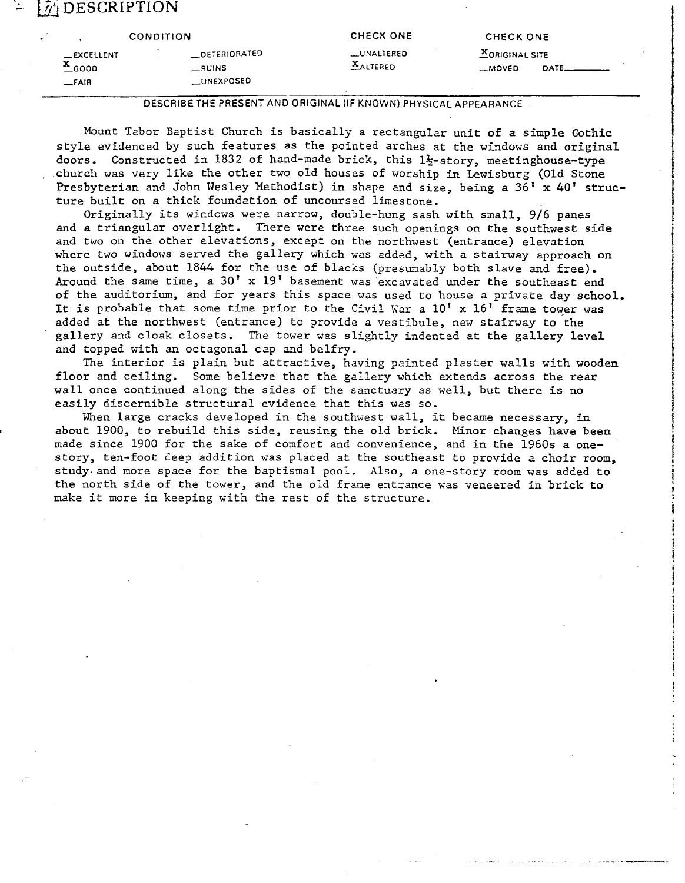## **'2** DESCRIPTION

|                     | <b>CONDITION</b>     | <b>CHECK ONE</b> | CHECK ONE             |                       |
|---------------------|----------------------|------------------|-----------------------|-----------------------|
| _EXCELLENT          | <b>LOETERIORATED</b> | __UNALTERED      | <b>XORIGINAL SITE</b> |                       |
| $x$ <sub>GOOD</sub> | <b>__RUINS</b>       | <b>XALTERED</b>  | -MOVED                | $DATE$ <sub>___</sub> |
| $F$ AIR             | <b>LUNEXPOSED</b>    |                  |                       |                       |

**DESCRIBETHE PRESENT AND ORIGINAL (IF KNOWN) PHYSICAL APPEARANCE** 

Mount Tabor Baptist Church is basically a rectangular unit of a simple Gothic style evidenced by such features as the pointed arches at the windows and original doors. Constructed in 1832 of hand-made brick, this 1%-story, meetinghouse-type . church was very like the other two old houses of worship in Lewisburg (Old Stone Presbyterian and John Wesley Methodist) in shape and size, being a 36' x 40' structure built on a thick foundation of uncoursed limestone.

Originally its windows were narrow, double-hung sash with small, 9/6 panes and a triangular overlight. There were three such openings on the southwest side and two on the other elevations, except on the northwest (entrance) elevation where two windows served the gallery which was added, with a stairway approach on the outside, about 1844 for the use of blacks (presumably both slave and free). Around the same time, a 30' x 19' basement was excavated under the southeast end of the auditorium, and for years this space was used to house a private day school, It is probable that some time prior to the Civil War a  $10' \times 16'$  frame tower was added at the northwest (entrance) to provide a vestibule, new stairway to the gallery and cloak closets. The tower was slightly indented at the gallery level and topped with an octagonal cap and belfry.

The interior is plain but attractive, having painted plaster walls with wooden floor and ceiling. Some believe that the gallery which extends across the rear wall once continued along the sides of the sanctuary as well, but there is no easily discernible structural evidence that this was so.

When large cracks developed in the southwest wall, it became necessary, in **I** about 1900, to rebuild this side, reusing the old brick. Minor changes have been made since 1900 for the sake of comfort and convenience, and in the 1960s a onestory, ten-foot deep addition was placed at the southeast to provide a choir room, study. and more space for the baptismal pool. Also, a one-story room was added to the north side of the tower, and the old frane entrance was veneered in brick to make it more in keeping with the rest of the structure.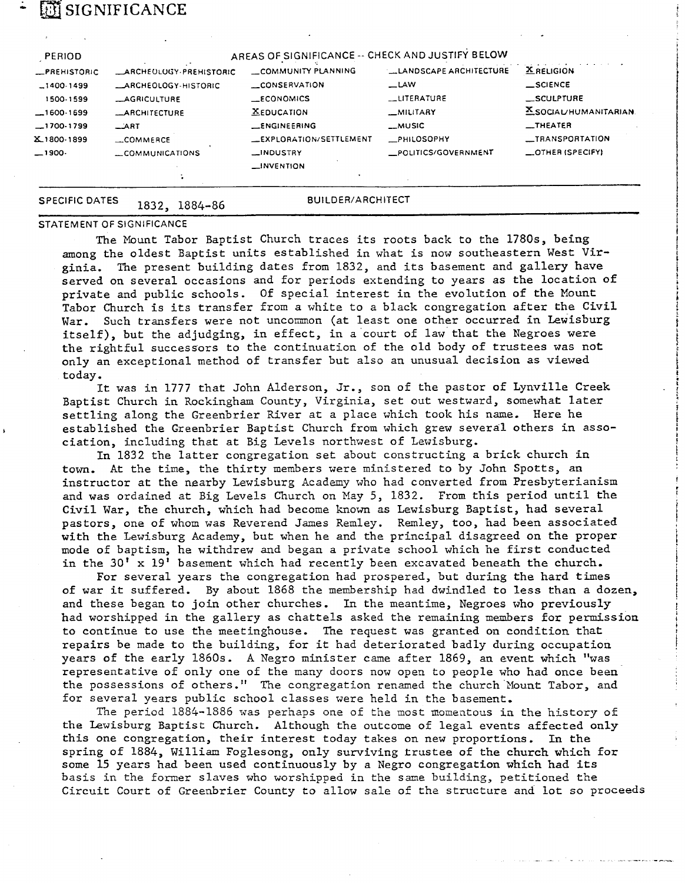## **SIGNIFICANCE**

| <b>PERIOD</b>       |                               | AREAS OF SIGNIFICANCE -- CHECK AND JUSTIFY BELOW |                         |                          |
|---------------------|-------------------------------|--------------------------------------------------|-------------------------|--------------------------|
| <b>_PREHISTORIC</b> | <b>ARCHEOLOGY-PREHISTORIC</b> | COMMUNITY PLANNING                               | LLANDSCAPE ARCHITECTURE | <b>X RELIGION</b>        |
| $-1400.1499$        | _ARCHEOLOGY-HISTORIC          | <b>CONSERVATION</b>                              | $\equiv$ LAW            | $\equiv$ SCIENCE         |
| 1500-1599           | <b>LAGRICULTURE</b>           | <b>ECONOMICS</b>                                 | LITERATURE              | $\_$ SCULPTURE           |
| $-1600.1699$        | <b>LARCHITECTURE</b>          | <b>XEDUCATION</b>                                | _MILITARY               | XSOCIAL/HUMANITARIAN     |
| $-1700-1799$        | $\equiv$ $\sqrt{2RT}$         | <b>LENGINEERING</b>                              | <b>__MUSIC</b>          | $-$ THEATER              |
| X_1800-1899         | COMMERCE                      | LEXPLORATION/SETTLEMENT                          | PHILOSOPHY              | _TRANSPORTATION          |
| -1900. __           | COMMUNICATIONS                | <b>LINDUSTRY</b>                                 | POLITICS/GOVERNMENT     | $\equiv$ OTHER (SPECIFY) |
|                     |                               | $\Box$ INVENTION                                 |                         |                          |
|                     |                               |                                                  |                         |                          |

### **SPECIFIC DATES**

1832, 1884-86

**BUILDER/ARCHITECT** 

#### STATEMENT OF SIGNIFICANCE

The Mount Tabor Baptist Church traces its roots back to the 1780s, being among the oldest Baptist units established in what is now southeastern West Virginia. The present building dates from 1832, and its basement and gallery have served on several occasions and for periods extending to years as the location of private and public schools. Of special interest in the evolution of the Mount Tabor Church is its transfer from a white to a black congregation after the Civil War. Such transfers were not uncommon (at least one other occurred in Lewisburg itself), but the adjudging, in effect, in a court of law that the Negroes were the rightful successors to the continuation of the old body of trustees was not only an exceptional method of transfer but also an unusual decision as viewed today.

It was in 1777 that John Alderson, Jr., son of the pastor of Lynville Creek Baptist Church in Rockingham County, Virginia, set out westward, somewhat later settling along the Greenbrier River at a place which took his name. Here he **t** established the Greenbrier Baptist Church from which grew several others in association, including that at Big Levels northwest of Lewisburg.

In 1832 the latter congregation set about constructing a brick church in town. At the time, the thirty members were ministered to by John Spotts, an instructor at the nearby Lewisburg Academy who had converted from Presbyterianism and was ordained at Big Levels Church on May *5,* 1832. From this period until the Civil War, the church, which had become known as Lewisburg Baptist, had several pastors, one of whom was Reverend James Remley. Remley, too, had been associated with the Lewisburg Academy, but when he and the principal disagreed on the proper mode of baptism, he withdrew and began a private school which he first conducted in the 30' x 19' basement which had recently been excavated beneath the church.

For several years the congregation had prospered, but during the hard times of war it suffered. By about 1868 the membership had dwindled to less than a dozen, and these began to join other churches. In the meantime, Negroes who previously had worshipped in the gallery as chattels asked the remaining members for permission to continue to use the meetinghouse. The request was granted on condition that repairs be made to the building, for it had deteriorated badly during occupation years of the early 1860s. A Negro minister came after 1869, an event which "was representative of only one of the many doors now open to people who had once been the possessions of others." The congregation renamed the church Nount Tabor, and for several years public school classes were held in the basement,

The period *1884-1886* was perhaps one of the most momentous in the history of the Lewisburg Baptist Church. Although the outcome of legal events affected only this one congregation, their interest today takes on new proportions. In the spring of 1884, William Foglesong, only surviving trustee of the church which for some 15 years had been used continuously by a Negro congregation which had its basis in the former slaves who worshipped in the same building, petitioned the Circuit Court of Greenbrier County to aliow sale of the structure and lot so proceeds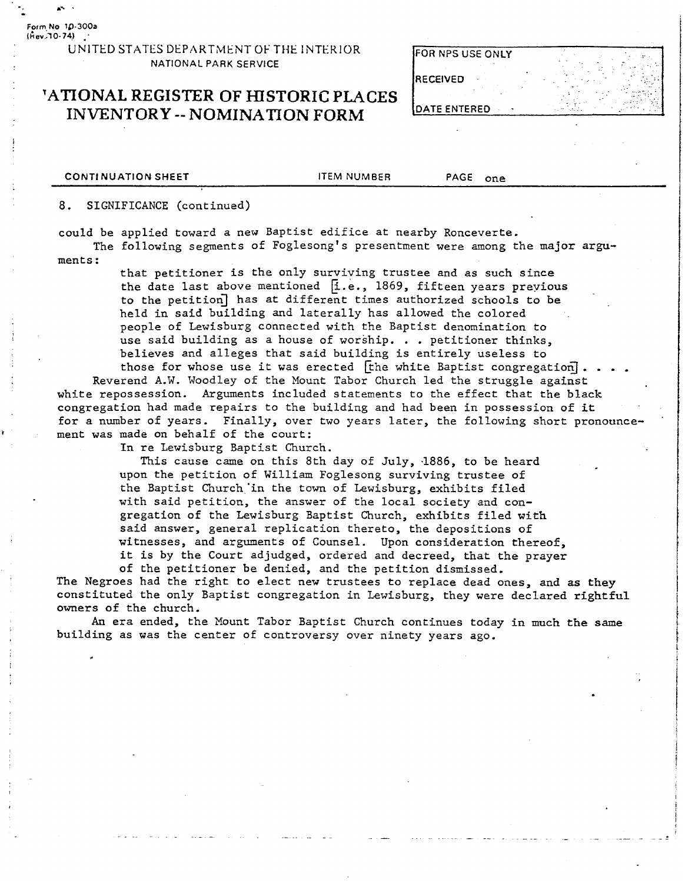**Form No 1&300a (k~,l0-74)** ..

> UNITED STATES DEPARTMENT OF THE INTERIOR **NATIONAL PARK SERVICE**

### **TATIONAL REGISTER OF HISTORIC PLACES INVENTORY -- NOMINATION FORM**

| FOR NPS USE ONLY     |  |
|----------------------|--|
| RECEIVED             |  |
| <b>IDATE ENTERED</b> |  |

**CONTINUATION SHEET THEM NUMBER PAGE ONE** 

**8.** SIGNIFICANCE (continued)

could be applied toward a new Baptist edifice at nearby Ronceverte.

The following segments of Foglesong's presentment were among the major arguments :

> that petitioner is the only surviving trustee and as such since the date last above mentioned **k.** e., 1869, fifteen years previous to the petition] has at different times authorized schools to be held in said building and laterally has allowed the colored people of Lewisburg connected with the Baptist denomination to use said building as a house of worship. . . petitioner thinks, believes and alleges that said building is entirely useless to

those for whose use it was erected [the white Baptist congregation].<br>Reverend A.W. Woodley of the Mount Tabor Church led the struggle against white repossession. Arguments included statements to the effect that the black congregation had made repairs to the building and had been in possession of it for a number of years. Finally, over two years later, the following short pronounce **<sup>r</sup>**ment was made on behalf of the court:

In re Lewisburg Baptist Church.

This cause came on this 8th day of July, 1886, to be heard upon the petition of William Foglesong surviving trustee of the Baptist Church'in the town of Lewisburg, exhibits filed with said petition, the answer of the local society and congregation of the Lewisburg Baptist Church, exhibits filed with said answer, general replication thereto, the depositions of witnesses, and arguments of Counsel. Upon consideration thereof, it is by the Court adjudged, ordered and decreed, that the prayer

of the petitioner be denied, and the petition dismissed. The Negroes had the right to elect new trustees to replace dead ones, and **as** they constituted the only Baptist congregation in Lewisburg, they were declared rightful owners of the church.

An era ended, the Mount Tabor Baptist Church continues today in much the same building as was the center of controversy over ninety years ago.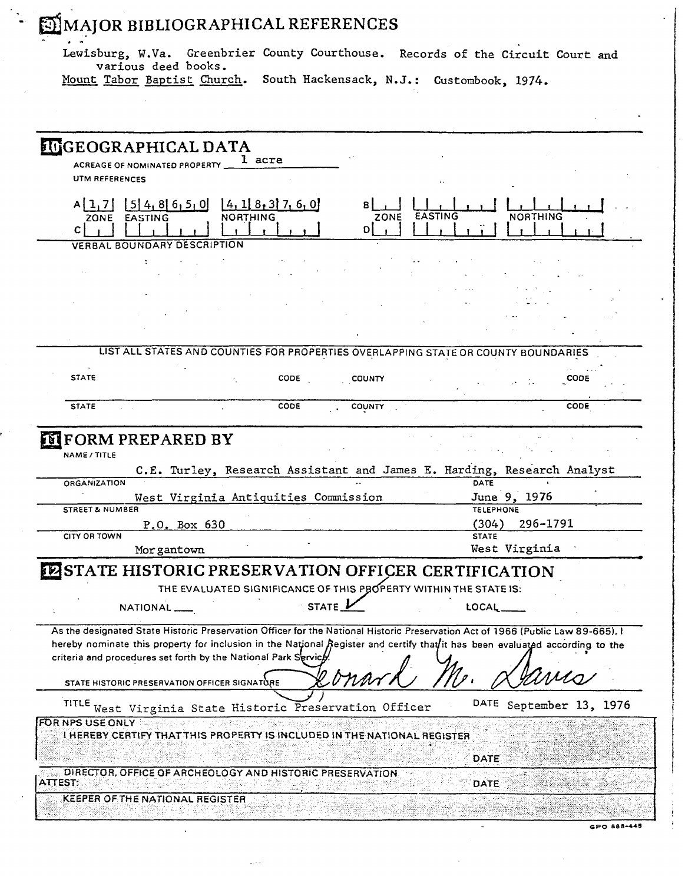Lewisburg, W.Va. Greenbrier County Courthouse. Records of the Circuit Court and various deed books.

 $\cdot$   $\cdot$ 

Mount Tabor Baptist Church. South Hackensack, N.J.: Custombook, 1974.

| <b>IUGEOGRAPHICAL DATA</b><br>1 acre<br>ACREAGE OF NOMINATED PROPERTY<br><b>UTM REFERENCES</b><br>$[5]$ 4, 8 6, 5, 0<br>A[1,7]<br>[4, 1] 8, 3] 7, 6, 0<br>EASTING<br><b>NORTHING</b><br>ZONE<br>Dİ<br>C I<br>VERBAL BOUNDARY DESCRIPTION<br>LIST ALL STATES AND COUNTIES FOR PROPERTIES OVERLAPPING STATE OR COUNTY BOUNDARIES<br><b>STATE</b><br><b>CODE</b><br><b>COUNTY</b><br><b>CODE</b><br>COUNTY<br>CODE<br><b>STATE</b><br>CODE<br><b>IF FORM PREPARED BY</b><br>NAME / TITLE<br>C.E. Turley, Research Assistant and James E. Harding, Research Analyst<br>DATE<br>ORGANIZATION<br>June 9, 1976<br>West Virginia Antiquities Commission<br><b>STREET &amp; NUMBER</b><br><b>TELEPHONE</b><br>(304)<br>296-1791<br>P.O. Box 630<br><b>CITY OR TOWN</b><br><b>STATE</b><br>West Virginia<br>Morgantown<br><b>ESTATE HISTORIC PRESERVATION OFFICER CERTIFICATION</b><br>THE EVALUATED SIGNIFICANCE OF THIS PROPERTY WITHIN THE STATE IS:<br><b>STATE</b><br>NATIONAL <sub>I</sub><br>LOCAL<br>As the designated State Historic Preservation Officer for the National Historic Preservation Act of 1966 (Public Law 89-665), I<br>hereby nominate this property for inclusion in the National Register and certify that it has been evaluated according to the<br>criteria and procedures set forth by the National Park Service<br>wana<br>STATE HISTORIC PRESERVATION OFFICER SIGNATURE<br><b>TITLE</b><br>DATE September 13, 1976<br>West Virginia State Historic Preservation Officer<br><b>FOR NPS USE ONLY</b><br>I HEREBY CERTIFY THAT THIS PROPERTY IS INCLUDED IN THE NATIONAL REGISTER<br><b>DATE</b><br>DIRECTOR, OFFICE OF ARCHEOLOGY AND HISTORIC PRESERVATION<br><b>ATTEST:</b><br><b>DATE</b><br>KEEPER OF THE NATIONAL REGISTER. |  |  |  |  |  |
|------------------------------------------------------------------------------------------------------------------------------------------------------------------------------------------------------------------------------------------------------------------------------------------------------------------------------------------------------------------------------------------------------------------------------------------------------------------------------------------------------------------------------------------------------------------------------------------------------------------------------------------------------------------------------------------------------------------------------------------------------------------------------------------------------------------------------------------------------------------------------------------------------------------------------------------------------------------------------------------------------------------------------------------------------------------------------------------------------------------------------------------------------------------------------------------------------------------------------------------------------------------------------------------------------------------------------------------------------------------------------------------------------------------------------------------------------------------------------------------------------------------------------------------------------------------------------------------------------------------------------------------------------------------------------------------------------------------------------------------------------|--|--|--|--|--|
|                                                                                                                                                                                                                                                                                                                                                                                                                                                                                                                                                                                                                                                                                                                                                                                                                                                                                                                                                                                                                                                                                                                                                                                                                                                                                                                                                                                                                                                                                                                                                                                                                                                                                                                                                      |  |  |  |  |  |
|                                                                                                                                                                                                                                                                                                                                                                                                                                                                                                                                                                                                                                                                                                                                                                                                                                                                                                                                                                                                                                                                                                                                                                                                                                                                                                                                                                                                                                                                                                                                                                                                                                                                                                                                                      |  |  |  |  |  |
|                                                                                                                                                                                                                                                                                                                                                                                                                                                                                                                                                                                                                                                                                                                                                                                                                                                                                                                                                                                                                                                                                                                                                                                                                                                                                                                                                                                                                                                                                                                                                                                                                                                                                                                                                      |  |  |  |  |  |
|                                                                                                                                                                                                                                                                                                                                                                                                                                                                                                                                                                                                                                                                                                                                                                                                                                                                                                                                                                                                                                                                                                                                                                                                                                                                                                                                                                                                                                                                                                                                                                                                                                                                                                                                                      |  |  |  |  |  |
|                                                                                                                                                                                                                                                                                                                                                                                                                                                                                                                                                                                                                                                                                                                                                                                                                                                                                                                                                                                                                                                                                                                                                                                                                                                                                                                                                                                                                                                                                                                                                                                                                                                                                                                                                      |  |  |  |  |  |
|                                                                                                                                                                                                                                                                                                                                                                                                                                                                                                                                                                                                                                                                                                                                                                                                                                                                                                                                                                                                                                                                                                                                                                                                                                                                                                                                                                                                                                                                                                                                                                                                                                                                                                                                                      |  |  |  |  |  |
|                                                                                                                                                                                                                                                                                                                                                                                                                                                                                                                                                                                                                                                                                                                                                                                                                                                                                                                                                                                                                                                                                                                                                                                                                                                                                                                                                                                                                                                                                                                                                                                                                                                                                                                                                      |  |  |  |  |  |
|                                                                                                                                                                                                                                                                                                                                                                                                                                                                                                                                                                                                                                                                                                                                                                                                                                                                                                                                                                                                                                                                                                                                                                                                                                                                                                                                                                                                                                                                                                                                                                                                                                                                                                                                                      |  |  |  |  |  |
|                                                                                                                                                                                                                                                                                                                                                                                                                                                                                                                                                                                                                                                                                                                                                                                                                                                                                                                                                                                                                                                                                                                                                                                                                                                                                                                                                                                                                                                                                                                                                                                                                                                                                                                                                      |  |  |  |  |  |
|                                                                                                                                                                                                                                                                                                                                                                                                                                                                                                                                                                                                                                                                                                                                                                                                                                                                                                                                                                                                                                                                                                                                                                                                                                                                                                                                                                                                                                                                                                                                                                                                                                                                                                                                                      |  |  |  |  |  |
|                                                                                                                                                                                                                                                                                                                                                                                                                                                                                                                                                                                                                                                                                                                                                                                                                                                                                                                                                                                                                                                                                                                                                                                                                                                                                                                                                                                                                                                                                                                                                                                                                                                                                                                                                      |  |  |  |  |  |
|                                                                                                                                                                                                                                                                                                                                                                                                                                                                                                                                                                                                                                                                                                                                                                                                                                                                                                                                                                                                                                                                                                                                                                                                                                                                                                                                                                                                                                                                                                                                                                                                                                                                                                                                                      |  |  |  |  |  |
|                                                                                                                                                                                                                                                                                                                                                                                                                                                                                                                                                                                                                                                                                                                                                                                                                                                                                                                                                                                                                                                                                                                                                                                                                                                                                                                                                                                                                                                                                                                                                                                                                                                                                                                                                      |  |  |  |  |  |
|                                                                                                                                                                                                                                                                                                                                                                                                                                                                                                                                                                                                                                                                                                                                                                                                                                                                                                                                                                                                                                                                                                                                                                                                                                                                                                                                                                                                                                                                                                                                                                                                                                                                                                                                                      |  |  |  |  |  |
|                                                                                                                                                                                                                                                                                                                                                                                                                                                                                                                                                                                                                                                                                                                                                                                                                                                                                                                                                                                                                                                                                                                                                                                                                                                                                                                                                                                                                                                                                                                                                                                                                                                                                                                                                      |  |  |  |  |  |
|                                                                                                                                                                                                                                                                                                                                                                                                                                                                                                                                                                                                                                                                                                                                                                                                                                                                                                                                                                                                                                                                                                                                                                                                                                                                                                                                                                                                                                                                                                                                                                                                                                                                                                                                                      |  |  |  |  |  |
|                                                                                                                                                                                                                                                                                                                                                                                                                                                                                                                                                                                                                                                                                                                                                                                                                                                                                                                                                                                                                                                                                                                                                                                                                                                                                                                                                                                                                                                                                                                                                                                                                                                                                                                                                      |  |  |  |  |  |
|                                                                                                                                                                                                                                                                                                                                                                                                                                                                                                                                                                                                                                                                                                                                                                                                                                                                                                                                                                                                                                                                                                                                                                                                                                                                                                                                                                                                                                                                                                                                                                                                                                                                                                                                                      |  |  |  |  |  |
|                                                                                                                                                                                                                                                                                                                                                                                                                                                                                                                                                                                                                                                                                                                                                                                                                                                                                                                                                                                                                                                                                                                                                                                                                                                                                                                                                                                                                                                                                                                                                                                                                                                                                                                                                      |  |  |  |  |  |
|                                                                                                                                                                                                                                                                                                                                                                                                                                                                                                                                                                                                                                                                                                                                                                                                                                                                                                                                                                                                                                                                                                                                                                                                                                                                                                                                                                                                                                                                                                                                                                                                                                                                                                                                                      |  |  |  |  |  |
|                                                                                                                                                                                                                                                                                                                                                                                                                                                                                                                                                                                                                                                                                                                                                                                                                                                                                                                                                                                                                                                                                                                                                                                                                                                                                                                                                                                                                                                                                                                                                                                                                                                                                                                                                      |  |  |  |  |  |
|                                                                                                                                                                                                                                                                                                                                                                                                                                                                                                                                                                                                                                                                                                                                                                                                                                                                                                                                                                                                                                                                                                                                                                                                                                                                                                                                                                                                                                                                                                                                                                                                                                                                                                                                                      |  |  |  |  |  |
|                                                                                                                                                                                                                                                                                                                                                                                                                                                                                                                                                                                                                                                                                                                                                                                                                                                                                                                                                                                                                                                                                                                                                                                                                                                                                                                                                                                                                                                                                                                                                                                                                                                                                                                                                      |  |  |  |  |  |
|                                                                                                                                                                                                                                                                                                                                                                                                                                                                                                                                                                                                                                                                                                                                                                                                                                                                                                                                                                                                                                                                                                                                                                                                                                                                                                                                                                                                                                                                                                                                                                                                                                                                                                                                                      |  |  |  |  |  |
|                                                                                                                                                                                                                                                                                                                                                                                                                                                                                                                                                                                                                                                                                                                                                                                                                                                                                                                                                                                                                                                                                                                                                                                                                                                                                                                                                                                                                                                                                                                                                                                                                                                                                                                                                      |  |  |  |  |  |
|                                                                                                                                                                                                                                                                                                                                                                                                                                                                                                                                                                                                                                                                                                                                                                                                                                                                                                                                                                                                                                                                                                                                                                                                                                                                                                                                                                                                                                                                                                                                                                                                                                                                                                                                                      |  |  |  |  |  |
|                                                                                                                                                                                                                                                                                                                                                                                                                                                                                                                                                                                                                                                                                                                                                                                                                                                                                                                                                                                                                                                                                                                                                                                                                                                                                                                                                                                                                                                                                                                                                                                                                                                                                                                                                      |  |  |  |  |  |
|                                                                                                                                                                                                                                                                                                                                                                                                                                                                                                                                                                                                                                                                                                                                                                                                                                                                                                                                                                                                                                                                                                                                                                                                                                                                                                                                                                                                                                                                                                                                                                                                                                                                                                                                                      |  |  |  |  |  |
|                                                                                                                                                                                                                                                                                                                                                                                                                                                                                                                                                                                                                                                                                                                                                                                                                                                                                                                                                                                                                                                                                                                                                                                                                                                                                                                                                                                                                                                                                                                                                                                                                                                                                                                                                      |  |  |  |  |  |
|                                                                                                                                                                                                                                                                                                                                                                                                                                                                                                                                                                                                                                                                                                                                                                                                                                                                                                                                                                                                                                                                                                                                                                                                                                                                                                                                                                                                                                                                                                                                                                                                                                                                                                                                                      |  |  |  |  |  |
|                                                                                                                                                                                                                                                                                                                                                                                                                                                                                                                                                                                                                                                                                                                                                                                                                                                                                                                                                                                                                                                                                                                                                                                                                                                                                                                                                                                                                                                                                                                                                                                                                                                                                                                                                      |  |  |  |  |  |
|                                                                                                                                                                                                                                                                                                                                                                                                                                                                                                                                                                                                                                                                                                                                                                                                                                                                                                                                                                                                                                                                                                                                                                                                                                                                                                                                                                                                                                                                                                                                                                                                                                                                                                                                                      |  |  |  |  |  |
|                                                                                                                                                                                                                                                                                                                                                                                                                                                                                                                                                                                                                                                                                                                                                                                                                                                                                                                                                                                                                                                                                                                                                                                                                                                                                                                                                                                                                                                                                                                                                                                                                                                                                                                                                      |  |  |  |  |  |
|                                                                                                                                                                                                                                                                                                                                                                                                                                                                                                                                                                                                                                                                                                                                                                                                                                                                                                                                                                                                                                                                                                                                                                                                                                                                                                                                                                                                                                                                                                                                                                                                                                                                                                                                                      |  |  |  |  |  |

للأمري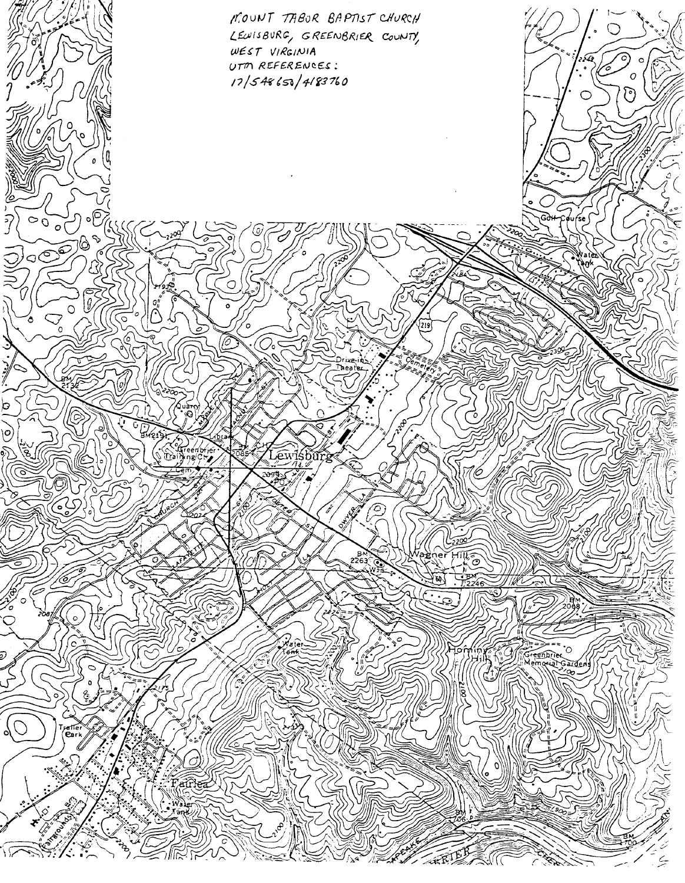